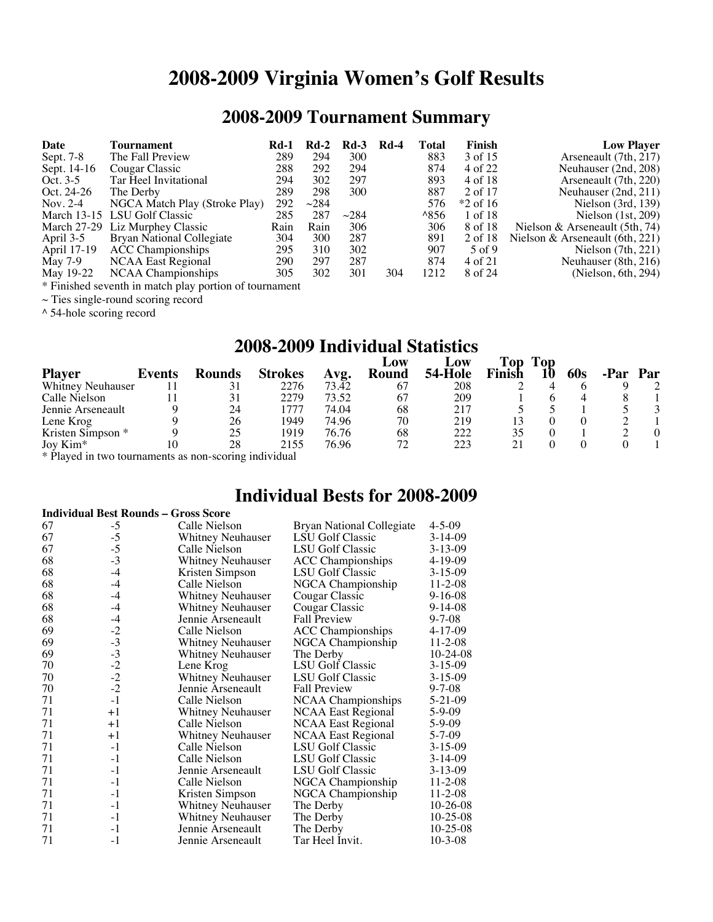# **2008-2009 Virginia Women's Golf Results**

# **2008-2009 Tournament Summary**

| Date        | Tournament                      | Rd-1 | $Rd-2$     | $Rd-3$     | <b>Rd-4</b> | Total         | Finish     | <b>Low Player</b>                 |
|-------------|---------------------------------|------|------------|------------|-------------|---------------|------------|-----------------------------------|
| Sept. 7-8   | The Fall Preview                | 289  | 294        | 300        |             | 883           | 3 of 15    | Arseneault (7th, 217)             |
| Sept. 14-16 | Cougar Classic                  | 288  | 292        | 294        |             | 874           | 4 of 22    | Neuhauser (2nd, 208)              |
| Oct. $3-5$  | Tar Heel Invitational           | 294  | 302        | 297        |             | 893           | 4 of 18    | Arseneault (7th, 220)             |
| Oct. 24-26  | The Derby                       | 289  | 298        | 300        |             | 887           | 2 of 17    | Neuhauser $(2nd, 211)$            |
| Nov. $2-4$  | NGCA Match Play (Stroke Play)   | 292  | $\sim$ 284 |            |             | 576           | $*2$ of 16 | Nielson $(3rd, 139)$              |
|             | March 13-15 LSU Golf Classic    | 285  | 287        | $\sim$ 284 |             | $^{\land}856$ | 1 of 18    | Nielson $(1st, 209)$              |
|             | March 27-29 Liz Murphey Classic | Rain | Rain       | 306        |             | 306           | 8 of 18    | Nielson & Arseneault $(5th, 74)$  |
| April 3-5   | Bryan National Collegiate       | 304  | 300        | 287        |             | 891           | 2 of 18    | Nielson & Arseneault $(6th, 221)$ |
| April 17-19 | <b>ACC</b> Championships        | 295  | 310        | 302        |             | 907           | 5 of 9     | Nielson $(7th, 221)$              |
| May 7-9     | <b>NCAA East Regional</b>       | 290  | 297        | 287        |             | 874           | 4 of 21    | Neuhauser (8th, 216)              |
| May 19-22   | NCAA Championships              | 305  | 302        | 301        | 304         | 1212          | 8 of 24    | (Nielson, 6th, 294)               |

\* Finished seventh in match play portion of tournament

~ Ties single-round scoring record

^ 54-hole scoring record

# **2008-2009 Individual Statistics**

|                   |        |               |                |               | $L$ OW | LOW     | <b>Top</b>    | Top |     |     |
|-------------------|--------|---------------|----------------|---------------|--------|---------|---------------|-----|-----|-----|
| <b>Player</b>     | Events | <b>Rounds</b> | <b>Strokes</b> | Avg.          | Round  | 54-Hole | <b>Finish</b> |     | 60s | Par |
| Whitney Neuhauser |        |               | 2276           | $73.\bar{42}$ | 67     | 208     |               |     |     |     |
| Calle Nielson     |        | 31            | 2279           | 73.52         | 67     | 209     |               |     |     |     |
| Jennie Arseneault |        | 24            | .777           | 74.04         | 68     | 217     |               |     |     |     |
| Lene Krog         |        | 26            | 1949           | 74.96         | 70     | 219     |               |     |     |     |
| Kristen Simpson * |        | 25            | 1919           | 76.76         | 68     | 222     |               |     |     |     |
| Joy $Kim*$        |        | 28            | 2155           | 76.96         | 72     | 223     |               |     |     |     |

\* Played in two tournaments as non-scoring individual

### **Individual Bests for 2008-2009**

#### **Individual Best Rounds – Gross Score**

| 67 | $-5$         | Calle Nielson            | Bryan National Collegiate | $4 - 5 - 09$   |
|----|--------------|--------------------------|---------------------------|----------------|
| 67 | $-5$         | <b>Whitney Neuhauser</b> | <b>LSU</b> Golf Classic   | $3-14-09$      |
| 67 | $-5$         | Calle Nielson            | LSU Golf Classic          | $3 - 13 - 09$  |
| 68 | $-3$         | <b>Whitney Neuhauser</b> | <b>ACC</b> Championships  | $4 - 19 - 09$  |
| 68 | $-4$         | Kristen Simpson          | LSU Golf Classic          | $3 - 15 - 09$  |
| 68 | $-4$         | Calle Nielson            | NGCA Championship         | $11 - 2 - 08$  |
| 68 | $-4$         | Whitney Neuhauser        | Cougar Classic            | $9 - 16 - 08$  |
| 68 | $-4$         | <b>Whitney Neuhauser</b> | Cougar Classic            | $9 - 14 - 08$  |
| 68 | $-4$         | Jennie Arseneault        | <b>Fall Preview</b>       | $9 - 7 - 08$   |
| 69 | $-2$         | Calle Nielson            | <b>ACC</b> Championships  | 4-17-09        |
| 69 | $-3$         | Whitney Neuhauser        | NGCA Championship         | $11 - 2 - 08$  |
| 69 | $-3$<br>$-2$ | Whitney Neuhauser        | The Derby                 | $10-24-08$     |
| 70 |              | Lene Krog                | LSU Golf Classic          | $3-15-09$      |
| 70 | $-2$         | <b>Whitney Neuhauser</b> | LSU Golf Classic          | $3 - 15 - 09$  |
| 70 | $-2$         | Jennie Arseneault        | <b>Fall Preview</b>       | $9 - 7 - 08$   |
| 71 | $-1$         | Calle Nielson            | <b>NCAA</b> Championships | 5-21-09        |
| 71 | $+1$         | Whitney Neuhauser        | <b>NCAA East Regional</b> | 5-9-09         |
| 71 | $+1$         | Calle Nielson            | NCAA East Regional        | $5-9-09$       |
| 71 | $+1$         | <b>Whitney Neuhauser</b> | <b>NCAA East Regional</b> | $5 - 7 - 09$   |
| 71 | $-1$         | Calle Nielson            | LSU Golf Classic          | $3-15-09$      |
| 71 | $-1$         | Calle Nielson            | LSU Golf Classic          | $3-14-09$      |
| 71 | $-1$         | Jennie Arseneault        | LSU Golf Classic          | $3 - 13 - 09$  |
| 71 | $-1$         | Calle Nielson            | NGCA Championship         | $11 - 2 - 08$  |
| 71 | $-1$         | Kristen Simpson          | NGCA Championship         | $11 - 2 - 08$  |
| 71 | $-1$         | <b>Whitney Neuhauser</b> | The Derby                 | $10-26-08$     |
| 71 | $-1$         | <b>Whitney Neuhauser</b> | The Derby                 | $10 - 25 - 08$ |
| 71 | $-1$         | Jennie Arseneault        | The Derby                 | $10 - 25 - 08$ |
| 71 | $-1$         | Jennie Arseneault        | Tar Heel Invit.           | $10 - 3 - 08$  |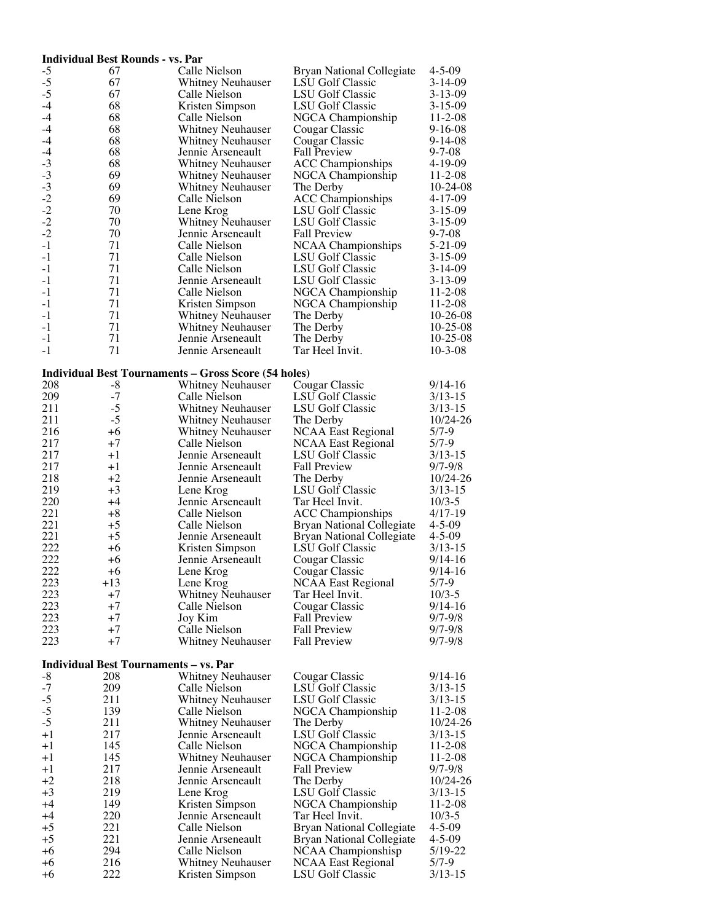|                                                      | <b>Individual Best Rounds - vs. Par</b>      |                                                             |                                        |                         |
|------------------------------------------------------|----------------------------------------------|-------------------------------------------------------------|----------------------------------------|-------------------------|
| $-5$                                                 | 67                                           | Calle Nielson                                               | <b>Bryan National Collegiate</b>       | $4 - 5 - 09$            |
| $-5$                                                 | 67                                           | <b>Whitney Neuhauser</b>                                    | <b>LSU Golf Classic</b>                | $3-14-09$               |
| $-5$                                                 | 67                                           | Calle Nielson                                               | LSU Golf Classic                       | $3 - 13 - 09$           |
| $-4$                                                 | 68                                           | Kristen Simpson                                             | LSU Golf Classic                       | $3 - 15 - 09$           |
| $-4$                                                 | 68                                           | Calle Nielson                                               | NGCA Championship                      | $11 - 2 - 08$           |
| $-4$                                                 | 68                                           | <b>Whitney Neuhauser</b>                                    | Cougar Classic                         | $9 - 16 - 08$           |
| $-4$                                                 | 68                                           | Whitney Neuhauser                                           | Cougar Classic                         | $9 - 14 - 08$           |
| $-4$                                                 | 68<br>68                                     | Jennie Arseneault                                           | <b>Fall Preview</b>                    | 9-7-08<br>4-19-09       |
|                                                      | 69                                           | Whitney Neuhauser<br><b>Whitney Neuhauser</b>               | <b>ACC Championships</b>               | 11-2-08                 |
|                                                      | 69                                           | <b>Whitney Neuhauser</b>                                    | NGCA Championship<br>The Derby         | $10-24-08$              |
|                                                      | 69                                           | Calle Nielson                                               | <b>ACC</b> Championships               | $4 - 17 - 09$           |
| $-3$<br>$-3$<br>$-3$<br>$-2$<br>$-2$<br>$-2$<br>$-2$ | 70                                           | Lene Krog                                                   | LSU Golf Classic                       | $3 - 15 - 09$           |
|                                                      | 70                                           | <b>Whitney Neuhauser</b>                                    | <b>LSU Golf Classic</b>                | $3 - 15 - 09$           |
|                                                      | 70                                           | Jennie Arseneault                                           | <b>Fall Preview</b>                    | $9 - 7 - 08$            |
| $-1$                                                 | 71                                           | Calle Nielson                                               | NCAA Championships                     | 5-21-09                 |
| $-1$                                                 | 71                                           | Calle Nielson                                               | <b>LSU Golf Classic</b>                | $3 - 15 - 09$           |
| $-1$                                                 | 71                                           | Calle Nielson                                               | LSU Golf Classic                       | $3 - 14 - 09$           |
| $-1$                                                 | 71                                           | Jennie Arseneault                                           | LSU Golf Classic                       | $3 - 13 - 09$           |
| $-1$                                                 | 71                                           | Calle Nielson                                               | NGCA Championship                      | $11 - 2 - 08$           |
| $-1$                                                 | 71                                           | Kristen Simpson                                             | NGCA Championship                      | 11-2-08                 |
| $-1$                                                 | 71                                           | <b>Whitney Neuhauser</b>                                    | The Derby                              | $10-26-08$              |
| $-1$                                                 | 71                                           | <b>Whitney Neuhauser</b>                                    | The Derby                              | $10-25-08$              |
| $-1$                                                 | 71                                           | Jennie Arseneault                                           | The Derby                              | $10-25-08$              |
| $-1$                                                 | 71                                           | Jennie Arseneault                                           | Tar Heel Invit.                        | 10-3-08                 |
|                                                      |                                              |                                                             |                                        |                         |
|                                                      |                                              | <b>Individual Best Tournaments - Gross Score (54 holes)</b> |                                        |                         |
| 208                                                  | -8                                           | <b>Whitney Neuhauser</b>                                    | Cougar Classic                         | $9/14-16$               |
| 209                                                  | $-7$<br>$-5$                                 | Calle Nielson                                               | <b>LSU Golf Classic</b>                | $3/13 - 15$             |
| 211<br>211                                           | $-5$                                         | Whitney Neuhauser                                           | LSU Golf Classic                       | $3/13 - 15$<br>10/24-26 |
| 216                                                  | $+6$                                         | <b>Whitney Neuhauser</b><br><b>Whitney Neuhauser</b>        | The Derby<br><b>NCAA East Regional</b> | $5/7 - 9$               |
| 217                                                  | $+7$                                         | Calle Nielson                                               | <b>NCAA East Regional</b>              | $5/7-9$                 |
| 217                                                  | $+1$                                         | Jennie Arseneault                                           | LSU Golf Classic                       | $3/13 - 15$             |
| 217                                                  | $+1$                                         | Jennie Arseneault                                           | <b>Fall Preview</b>                    | $9/7 - 9/8$             |
| 218                                                  | $+2$                                         | Jennie Arseneault                                           | The Derby                              | 10/24-26                |
| 219                                                  | $+3$                                         | Lene Krog                                                   | LSU Golf Classic                       | $3/13 - 15$             |
| 220                                                  | $+4$                                         | Jennie Arseneault                                           | Tar Heel Invit.                        | $10/3 - 5$              |
| 221                                                  | $+8$                                         | Calle Nielson                                               | <b>ACC Championships</b>               | $4/17-19$               |
| 221                                                  | $+5$                                         | Calle Nielson                                               | Bryan National Collegiate              | $4 - 5 - 09$            |
| 221                                                  | $+5$                                         | Jennie Arseneault                                           | Bryan National Collegiate              | $4 - 5 - 09$            |
| 222                                                  | $+6$                                         | Kristen Simpson                                             | LSU Golf Classic                       | $3/13 - 15$             |
| 222                                                  | +6                                           | Jennie Arseneault                                           | Cougar Classic                         | $9/14-16$               |
| 222                                                  | $+6$                                         | Lene Krog                                                   | Cougar Classic                         | $9/14-16$               |
| 223                                                  | $+13$                                        | Lene Krog                                                   | <b>NCAA East Regional</b>              | $5/7-9$                 |
| 223                                                  | +7                                           | <b>Whitney Neuhauser</b>                                    | Tar Heel Invit.                        | $10/3 - 5$              |
| 223                                                  | $+7$                                         | Calle Nielson                                               | Cougar Classic                         | $9/14-16$               |
| 223                                                  | $+7$                                         | Joy Kim                                                     | <b>Fall Preview</b>                    | $9/7 - 9/8$             |
| 223                                                  | $+7$                                         | Calle Nielson                                               | <b>Fall Preview</b>                    | $9/7 - 9/8$             |
| 223                                                  | $+7$                                         | <b>Whitney Neuhauser</b>                                    | <b>Fall Preview</b>                    | $9/7 - 9/8$             |
|                                                      | <b>Individual Best Tournaments - vs. Par</b> |                                                             |                                        |                         |
| $-8$                                                 | 208                                          | <b>Whitney Neuhauser</b>                                    | Cougar Classic                         | 9/14-16                 |
| $-7$                                                 | 209                                          | Calle Nielson                                               | <b>LSU Golf Classic</b>                | $3/13 - 15$             |
| $-5$                                                 | 211                                          | <b>Whitney Neuhauser</b>                                    | LSU Golf Classic                       | $3/13 - 15$             |
| $-5$                                                 | 139                                          | Calle Nielson                                               | NGCA Championship                      | $11 - 2 - 08$           |
| $-5$                                                 | 211                                          | <b>Whitney Neuhauser</b>                                    | The Derby                              | 10/24-26                |
| $+1$                                                 | 217                                          | Jennie Arseneault                                           | LSU Golf Classic                       | $3/13 - 15$             |
| $+1$                                                 | 145                                          | Calle Nielson                                               | NGCA Championship                      | $11 - 2 - 08$           |
| $+1$                                                 | 145                                          | <b>Whitney Neuhauser</b>                                    | NGCA Championship                      | $11 - 2 - 08$           |
| $+1$                                                 | 217                                          | Jennie Arseneault                                           | <b>Fall Preview</b>                    | $9/7 - 9/8$             |
| $+2$                                                 | 218                                          | Jennie Arseneault                                           | The Derby                              | 10/24-26                |
| $+3$                                                 | 219                                          | Lene Krog                                                   | <b>LSU Golf Classic</b>                | $3/13 - 15$             |
| $+4$                                                 | 149                                          | Kristen Simpson                                             | NGCA Championship                      | $11 - 2 - 08$           |
| $+4$                                                 | 220                                          | Jennie Arseneault                                           | Tar Heel Invit.                        | $10/3 - 5$              |
| $+5$                                                 | 221                                          | Calle Nielson                                               | Bryan National Collegiate              | $4 - 5 - 09$            |
| $+5$                                                 | 221                                          | Jennie Arseneault                                           | Bryan National Collegiate              | $4 - 5 - 09$            |
| $+6$                                                 | 294                                          | Calle Nielson                                               | NCAA Championshisp                     | 5/19-22                 |
| $+6$                                                 | 216                                          | Whitney Neuhauser                                           | <b>NCAA East Regional</b>              | $5/7-9$                 |
| $+6$                                                 | 222                                          | Kristen Simpson                                             | LSU Golf Classic                       | $3/13 - 15$             |